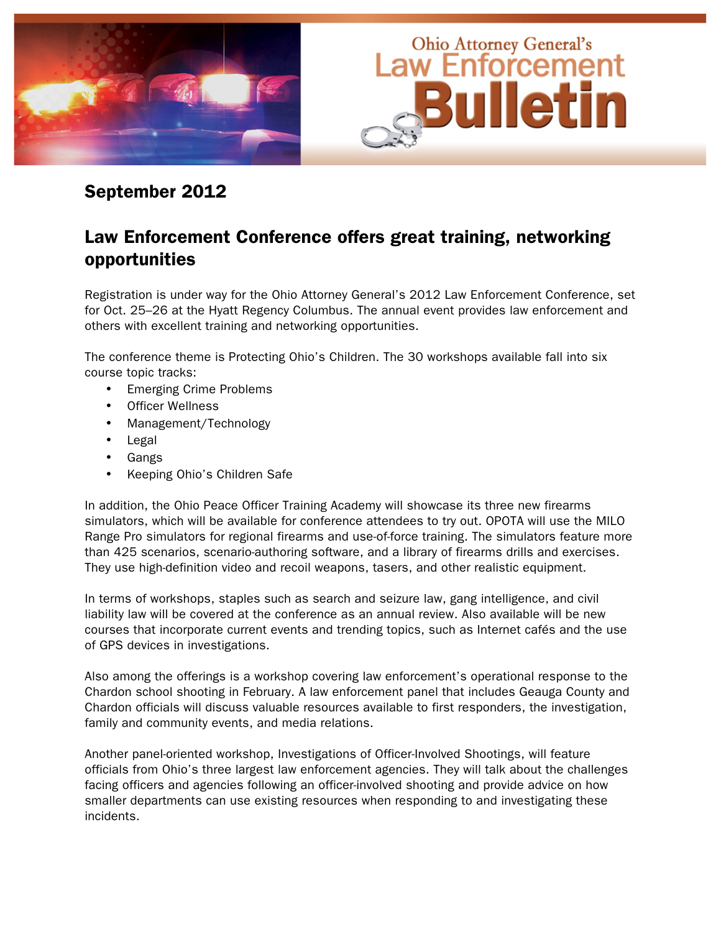

## September 2012

# Law Enforcement Conference offers great training, networking opportunities

Registration is under way for the Ohio Attorney General's 2012 Law Enforcement Conference, set for Oct. 25–26 at the Hyatt Regency Columbus. The annual event provides law enforcement and others with excellent training and networking opportunities.

The conference theme is Protecting Ohio's Children. The 30 workshops available fall into six course topic tracks:

- Emerging Crime Problems
- **Officer Wellness**
- Management/Technology
- **Legal**
- Gangs
- Keeping Ohio's Children Safe

In addition, the Ohio Peace Officer Training Academy will showcase its three new firearms simulators, which will be available for conference attendees to try out. OPOTA will use the MILO Range Pro simulators for regional firearms and use-of-force training. The simulators feature more than 425 scenarios, scenario-authoring software, and a library of firearms drills and exercises. They use high-definition video and recoil weapons, tasers, and other realistic equipment.

In terms of workshops, staples such as search and seizure law, gang intelligence, and civil liability law will be covered at the conference as an annual review. Also available will be new courses that incorporate current events and trending topics, such as Internet cafés and the use of GPS devices in investigations.

Also among the offerings is a workshop covering law enforcement's operational response to the Chardon school shooting in February. A law enforcement panel that includes Geauga County and Chardon officials will discuss valuable resources available to first responders, the investigation, family and community events, and media relations.

Another panel-oriented workshop, Investigations of Officer-Involved Shootings, will feature officials from Ohio's three largest law enforcement agencies. They will talk about the challenges facing officers and agencies following an officer-involved shooting and provide advice on how smaller departments can use existing resources when responding to and investigating these incidents.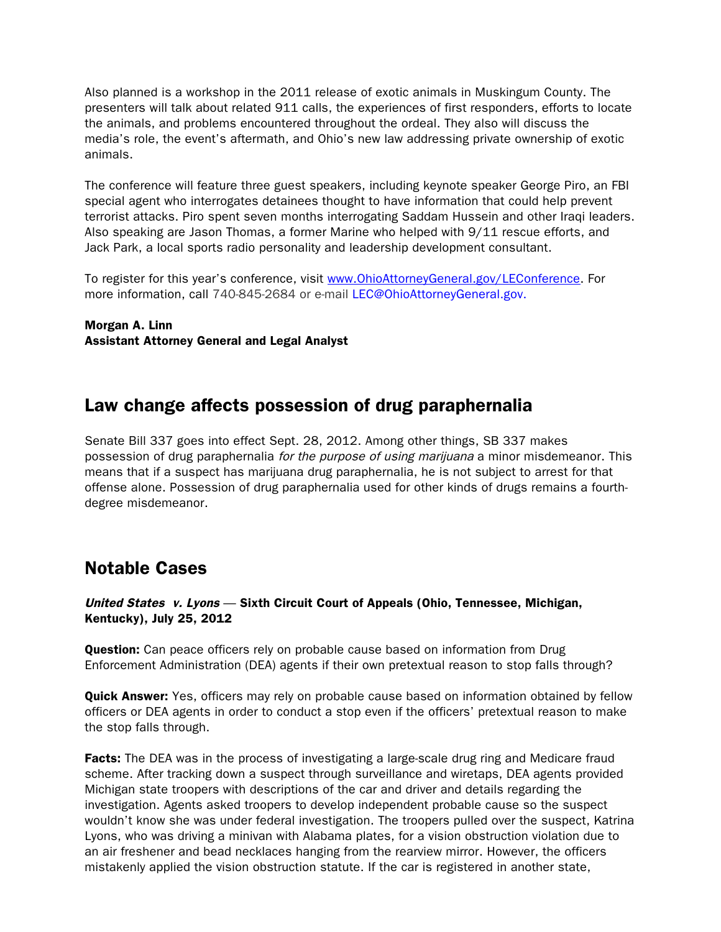Also planned is a workshop in the 2011 release of exotic animals in Muskingum County. The presenters will talk about related 911 calls, the experiences of first responders, efforts to locate the animals, and problems encountered throughout the ordeal. They also will discuss the media's role, the event's aftermath, and Ohio's new law addressing private ownership of exotic animals.

The conference will feature three guest speakers, including keynote speaker George Piro, an FBI special agent who interrogates detainees thought to have information that could help prevent terrorist attacks. Piro spent seven months interrogating Saddam Hussein and other Iraqi leaders. Also speaking are Jason Thomas, a former Marine who helped with 9/11 rescue efforts, and Jack Park, a local sports radio personality and leadership development consultant.

To register for this year's conference, visit www.OhioAttorneyGeneral.gov/LEConference. For more information, call 740-845-2684 or e-mail LEC@OhioAttorneyGeneral.gov.

Morgan A. Linn Assistant Attorney General and Legal Analyst

## Law change affects possession of drug paraphernalia

Senate Bill 337 goes into effect Sept. 28, 2012. Among other things, SB 337 makes possession of drug paraphernalia for the purpose of using marijuana a minor misdemeanor. This means that if a suspect has marijuana drug paraphernalia, he is not subject to arrest for that offense alone. Possession of drug paraphernalia used for other kinds of drugs remains a fourthdegree misdemeanor.

# Notable Cases

#### United States v. Lyons — Sixth Circuit Court of Appeals (Ohio, Tennessee, Michigan, Kentucky), July 25, 2012

**Question:** Can peace officers rely on probable cause based on information from Drug Enforcement Administration (DEA) agents if their own pretextual reason to stop falls through?

**Quick Answer:** Yes, officers may rely on probable cause based on information obtained by fellow officers or DEA agents in order to conduct a stop even if the officers' pretextual reason to make the stop falls through.

**Facts:** The DEA was in the process of investigating a large-scale drug ring and Medicare fraud scheme. After tracking down a suspect through surveillance and wiretaps, DEA agents provided Michigan state troopers with descriptions of the car and driver and details regarding the investigation. Agents asked troopers to develop independent probable cause so the suspect wouldn't know she was under federal investigation. The troopers pulled over the suspect, Katrina Lyons, who was driving a minivan with Alabama plates, for a vision obstruction violation due to an air freshener and bead necklaces hanging from the rearview mirror. However, the officers mistakenly applied the vision obstruction statute. If the car is registered in another state,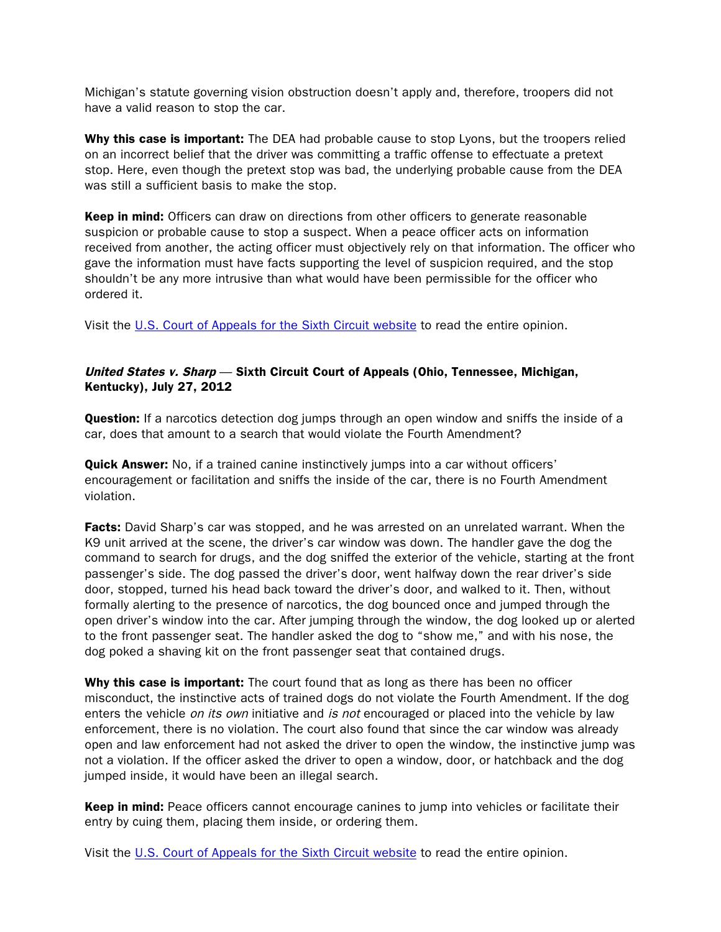Michigan's statute governing vision obstruction doesn't apply and, therefore, troopers did not have a valid reason to stop the car.

Why this case is important: The DEA had probable cause to stop Lyons, but the troopers relied on an incorrect belief that the driver was committing a traffic offense to effectuate a pretext stop. Here, even though the pretext stop was bad, the underlying probable cause from the DEA was still a sufficient basis to make the stop.

Keep in mind: Officers can draw on directions from other officers to generate reasonable suspicion or probable cause to stop a suspect. When a peace officer acts on information received from another, the acting officer must objectively rely on that information. The officer who gave the information must have facts supporting the level of suspicion required, and the stop shouldn't be any more intrusive than what would have been permissible for the officer who ordered it.

Visit the U.S. Court of Appeals for the Sixth Circuit website to read the entire opinion.

### United States v. Sharp — Sixth Circuit Court of Appeals (Ohio, Tennessee, Michigan, Kentucky), July 27, 2012

**Question:** If a narcotics detection dog jumps through an open window and sniffs the inside of a car, does that amount to a search that would violate the Fourth Amendment?

**Quick Answer:** No, if a trained canine instinctively jumps into a car without officers' encouragement or facilitation and sniffs the inside of the car, there is no Fourth Amendment violation.

**Facts:** David Sharp's car was stopped, and he was arrested on an unrelated warrant. When the K9 unit arrived at the scene, the driver's car window was down. The handler gave the dog the command to search for drugs, and the dog sniffed the exterior of the vehicle, starting at the front passenger's side. The dog passed the driver's door, went halfway down the rear driver's side door, stopped, turned his head back toward the driver's door, and walked to it. Then, without formally alerting to the presence of narcotics, the dog bounced once and jumped through the open driver's window into the car. After jumping through the window, the dog looked up or alerted to the front passenger seat. The handler asked the dog to "show me," and with his nose, the dog poked a shaving kit on the front passenger seat that contained drugs.

Why this case is important: The court found that as long as there has been no officer misconduct, the instinctive acts of trained dogs do not violate the Fourth Amendment. If the dog enters the vehicle *on its own* initiative and *is not* encouraged or placed into the vehicle by law enforcement, there is no violation. The court also found that since the car window was already open and law enforcement had not asked the driver to open the window, the instinctive jump was not a violation. If the officer asked the driver to open a window, door, or hatchback and the dog jumped inside, it would have been an illegal search.

**Keep in mind:** Peace officers cannot encourage canines to jump into vehicles or facilitate their entry by cuing them, placing them inside, or ordering them.

Visit the U.S. Court of Appeals for the Sixth Circuit website to read the entire opinion.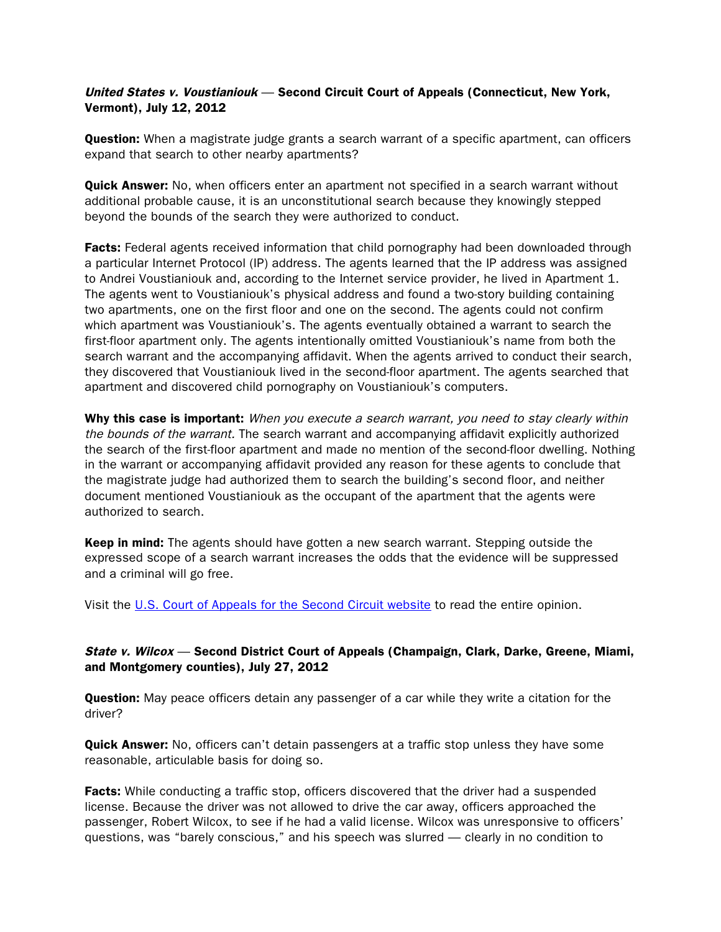#### United States v. Voustianiouk — Second Circuit Court of Appeals (Connecticut, New York, Vermont), July 12, 2012

**Question:** When a magistrate judge grants a search warrant of a specific apartment, can officers expand that search to other nearby apartments?

**Quick Answer:** No, when officers enter an apartment not specified in a search warrant without additional probable cause, it is an unconstitutional search because they knowingly stepped beyond the bounds of the search they were authorized to conduct.

**Facts:** Federal agents received information that child pornography had been downloaded through a particular Internet Protocol (IP) address. The agents learned that the IP address was assigned to Andrei Voustianiouk and, according to the Internet service provider, he lived in Apartment 1. The agents went to Voustianiouk's physical address and found a two-story building containing two apartments, one on the first floor and one on the second. The agents could not confirm which apartment was Voustianiouk's. The agents eventually obtained a warrant to search the first-floor apartment only. The agents intentionally omitted Voustianiouk's name from both the search warrant and the accompanying affidavit. When the agents arrived to conduct their search, they discovered that Voustianiouk lived in the second-floor apartment. The agents searched that apartment and discovered child pornography on Voustianiouk's computers.

Why this case is important: When you execute a search warrant, you need to stay clearly within the bounds of the warrant. The search warrant and accompanying affidavit explicitly authorized the search of the first-floor apartment and made no mention of the second-floor dwelling. Nothing in the warrant or accompanying affidavit provided any reason for these agents to conclude that the magistrate judge had authorized them to search the building's second floor, and neither document mentioned Voustianiouk as the occupant of the apartment that the agents were authorized to search.

**Keep in mind:** The agents should have gotten a new search warrant. Stepping outside the expressed scope of a search warrant increases the odds that the evidence will be suppressed and a criminal will go free.

Visit the U.S. Court of Appeals for the Second Circuit website to read the entire opinion.

#### State v. Wilcox — Second District Court of Appeals (Champaign, Clark, Darke, Greene, Miami, and Montgomery counties), July 27, 2012

**Question:** May peace officers detain any passenger of a car while they write a citation for the driver?

**Quick Answer:** No, officers can't detain passengers at a traffic stop unless they have some reasonable, articulable basis for doing so.

**Facts:** While conducting a traffic stop, officers discovered that the driver had a suspended license. Because the driver was not allowed to drive the car away, officers approached the passenger, Robert Wilcox, to see if he had a valid license. Wilcox was unresponsive to officers' questions, was "barely conscious," and his speech was slurred — clearly in no condition to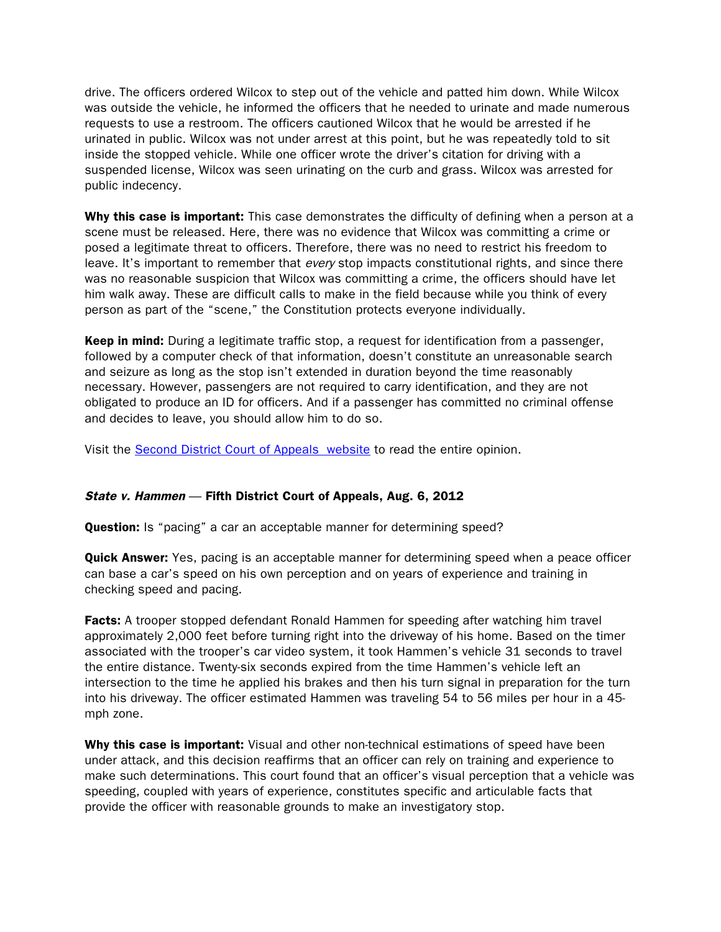drive. The officers ordered Wilcox to step out of the vehicle and patted him down. While Wilcox was outside the vehicle, he informed the officers that he needed to urinate and made numerous requests to use a restroom. The officers cautioned Wilcox that he would be arrested if he urinated in public. Wilcox was not under arrest at this point, but he was repeatedly told to sit inside the stopped vehicle. While one officer wrote the driver's citation for driving with a suspended license, Wilcox was seen urinating on the curb and grass. Wilcox was arrested for public indecency.

Why this case is important: This case demonstrates the difficulty of defining when a person at a scene must be released. Here, there was no evidence that Wilcox was committing a crime or posed a legitimate threat to officers. Therefore, there was no need to restrict his freedom to leave. It's important to remember that every stop impacts constitutional rights, and since there was no reasonable suspicion that Wilcox was committing a crime, the officers should have let him walk away. These are difficult calls to make in the field because while you think of every person as part of the "scene," the Constitution protects everyone individually.

**Keep in mind:** During a legitimate traffic stop, a request for identification from a passenger, followed by a computer check of that information, doesn't constitute an unreasonable search and seizure as long as the stop isn't extended in duration beyond the time reasonably necessary. However, passengers are not required to carry identification, and they are not obligated to produce an ID for officers. And if a passenger has committed no criminal offense and decides to leave, you should allow him to do so.

Visit the Second District Court of Appeals website to read the entire opinion.

### State v. Hammen - Fifth District Court of Appeals, Aug. 6, 2012

**Question:** Is "pacing" a car an acceptable manner for determining speed?

**Quick Answer:** Yes, pacing is an acceptable manner for determining speed when a peace officer can base a car's speed on his own perception and on years of experience and training in checking speed and pacing.

**Facts:** A trooper stopped defendant Ronald Hammen for speeding after watching him travel approximately 2,000 feet before turning right into the driveway of his home. Based on the timer associated with the trooper's car video system, it took Hammen's vehicle 31 seconds to travel the entire distance. Twenty-six seconds expired from the time Hammen's vehicle left an intersection to the time he applied his brakes and then his turn signal in preparation for the turn into his driveway. The officer estimated Hammen was traveling 54 to 56 miles per hour in a 45 mph zone.

Why this case is important: Visual and other non-technical estimations of speed have been under attack, and this decision reaffirms that an officer can rely on training and experience to make such determinations. This court found that an officer's visual perception that a vehicle was speeding, coupled with years of experience, constitutes specific and articulable facts that provide the officer with reasonable grounds to make an investigatory stop.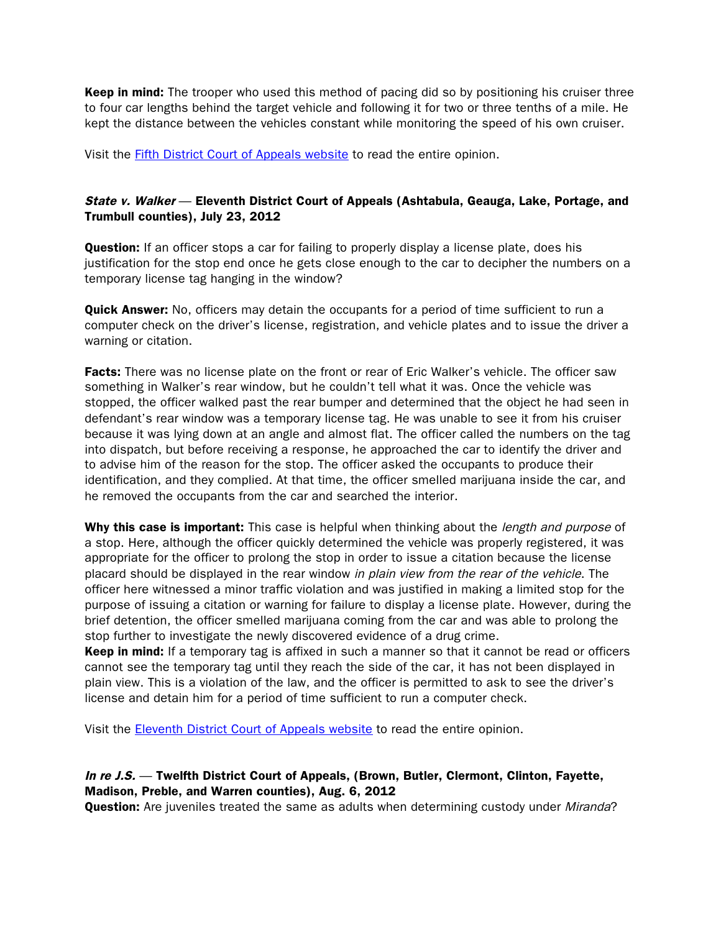**Keep in mind:** The trooper who used this method of pacing did so by positioning his cruiser three to four car lengths behind the target vehicle and following it for two or three tenths of a mile. He kept the distance between the vehicles constant while monitoring the speed of his own cruiser.

Visit the Fifth District Court of Appeals website to read the entire opinion.

#### State v. Walker - Eleventh District Court of Appeals (Ashtabula, Geauga, Lake, Portage, and Trumbull counties), July 23, 2012

**Question:** If an officer stops a car for failing to properly display a license plate, does his justification for the stop end once he gets close enough to the car to decipher the numbers on a temporary license tag hanging in the window?

**Quick Answer:** No, officers may detain the occupants for a period of time sufficient to run a computer check on the driver's license, registration, and vehicle plates and to issue the driver a warning or citation.

Facts: There was no license plate on the front or rear of Eric Walker's vehicle. The officer saw something in Walker's rear window, but he couldn't tell what it was. Once the vehicle was stopped, the officer walked past the rear bumper and determined that the object he had seen in defendant's rear window was a temporary license tag. He was unable to see it from his cruiser because it was lying down at an angle and almost flat. The officer called the numbers on the tag into dispatch, but before receiving a response, he approached the car to identify the driver and to advise him of the reason for the stop. The officer asked the occupants to produce their identification, and they complied. At that time, the officer smelled marijuana inside the car, and he removed the occupants from the car and searched the interior.

Why this case is important: This case is helpful when thinking about the *length and purpose* of a stop. Here, although the officer quickly determined the vehicle was properly registered, it was appropriate for the officer to prolong the stop in order to issue a citation because the license placard should be displayed in the rear window in plain view from the rear of the vehicle. The officer here witnessed a minor traffic violation and was justified in making a limited stop for the purpose of issuing a citation or warning for failure to display a license plate. However, during the brief detention, the officer smelled marijuana coming from the car and was able to prolong the stop further to investigate the newly discovered evidence of a drug crime.

Keep in mind: If a temporary tag is affixed in such a manner so that it cannot be read or officers cannot see the temporary tag until they reach the side of the car, it has not been displayed in plain view. This is a violation of the law, and the officer is permitted to ask to see the driver's license and detain him for a period of time sufficient to run a computer check.

Visit the Eleventh District Court of Appeals website to read the entire opinion.

#### In re J.S. — Twelfth District Court of Appeals, (Brown, Butler, Clermont, Clinton, Fayette, Madison, Preble, and Warren counties), Aug. 6, 2012

**Question:** Are juveniles treated the same as adults when determining custody under *Miranda*?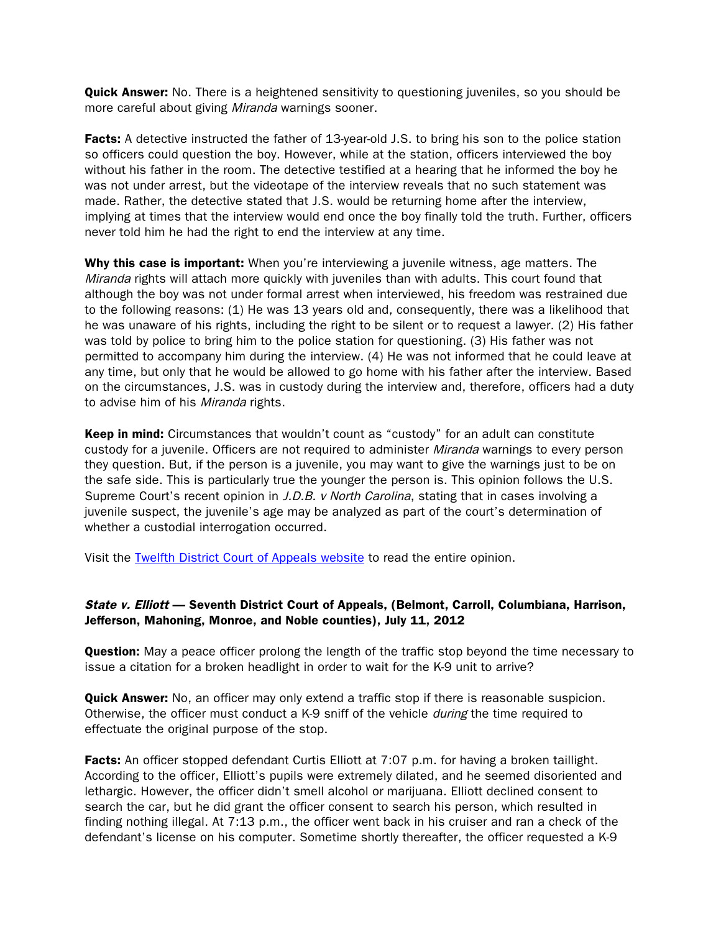**Quick Answer:** No. There is a heightened sensitivity to questioning juveniles, so you should be more careful about giving Miranda warnings sooner.

**Facts:** A detective instructed the father of 13-year-old J.S. to bring his son to the police station so officers could question the boy. However, while at the station, officers interviewed the boy without his father in the room. The detective testified at a hearing that he informed the boy he was not under arrest, but the videotape of the interview reveals that no such statement was made. Rather, the detective stated that J.S. would be returning home after the interview, implying at times that the interview would end once the boy finally told the truth. Further, officers never told him he had the right to end the interview at any time.

Why this case is important: When you're interviewing a juvenile witness, age matters. The Miranda rights will attach more quickly with juveniles than with adults. This court found that although the boy was not under formal arrest when interviewed, his freedom was restrained due to the following reasons: (1) He was 13 years old and, consequently, there was a likelihood that he was unaware of his rights, including the right to be silent or to request a lawyer. (2) His father was told by police to bring him to the police station for questioning. (3) His father was not permitted to accompany him during the interview. (4) He was not informed that he could leave at any time, but only that he would be allowed to go home with his father after the interview. Based on the circumstances, J.S. was in custody during the interview and, therefore, officers had a duty to advise him of his *Miranda* rights.

Keep in mind: Circumstances that wouldn't count as "custody" for an adult can constitute custody for a juvenile. Officers are not required to administer Miranda warnings to every person they question. But, if the person is a juvenile, you may want to give the warnings just to be on the safe side. This is particularly true the younger the person is. This opinion follows the U.S. Supreme Court's recent opinion in J.D.B. v North Carolina, stating that in cases involving a juvenile suspect, the juvenile's age may be analyzed as part of the court's determination of whether a custodial interrogation occurred.

Visit the Twelfth District Court of Appeals website to read the entire opinion.

#### State v. Elliott — Seventh District Court of Appeals, (Belmont, Carroll, Columbiana, Harrison, Jefferson, Mahoning, Monroe, and Noble counties), July 11, 2012

**Question:** May a peace officer prolong the length of the traffic stop beyond the time necessary to issue a citation for a broken headlight in order to wait for the K-9 unit to arrive?

**Quick Answer:** No, an officer may only extend a traffic stop if there is reasonable suspicion. Otherwise, the officer must conduct a K-9 sniff of the vehicle during the time required to effectuate the original purpose of the stop.

Facts: An officer stopped defendant Curtis Elliott at 7:07 p.m. for having a broken taillight. According to the officer, Elliott's pupils were extremely dilated, and he seemed disoriented and lethargic. However, the officer didn't smell alcohol or marijuana. Elliott declined consent to search the car, but he did grant the officer consent to search his person, which resulted in finding nothing illegal. At 7:13 p.m., the officer went back in his cruiser and ran a check of the defendant's license on his computer. Sometime shortly thereafter, the officer requested a K-9